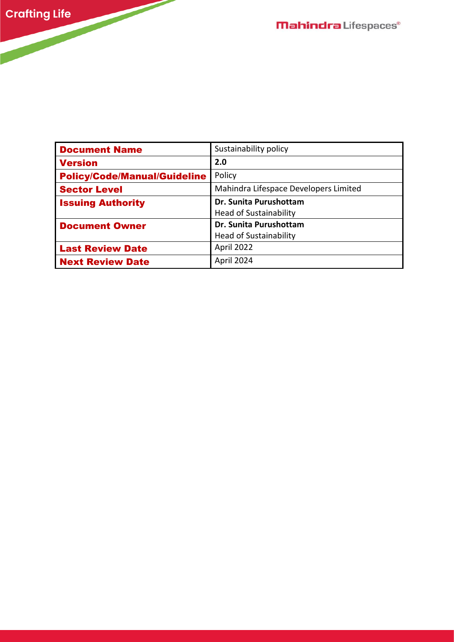| <b>Document Name</b>                | Sustainability policy                 |
|-------------------------------------|---------------------------------------|
| <b>Version</b>                      | 2.0                                   |
| <b>Policy/Code/Manual/Guideline</b> | Policy                                |
| <b>Sector Level</b>                 | Mahindra Lifespace Developers Limited |
| <b>Issuing Authority</b>            | Dr. Sunita Purushottam                |
|                                     | <b>Head of Sustainability</b>         |
| <b>Document Owner</b>               | Dr. Sunita Purushottam                |
|                                     | <b>Head of Sustainability</b>         |
| <b>Last Review Date</b>             | April 2022                            |
| <b>Next Review Date</b>             | April 2024                            |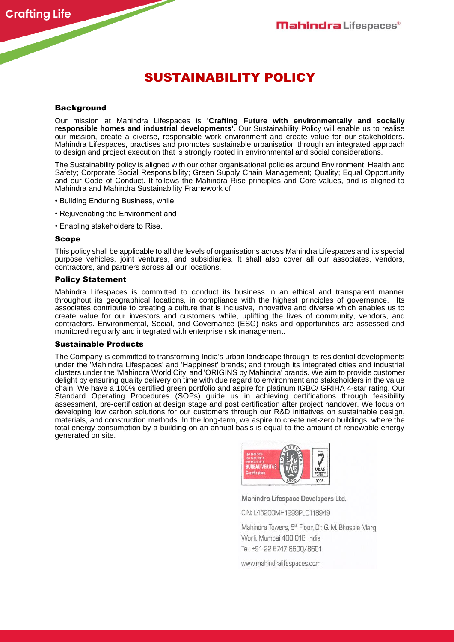# SUSTAINABILITY POLICY

## **Background**

Our mission at Mahindra Lifespaces is **'Crafting Future with environmentally and socially responsible homes and industrial developments'**. Our Sustainability Policy will enable us to realise our mission, create a diverse, responsible work environment and create value for our stakeholders. Mahindra Lifespaces, practises and promotes sustainable urbanisation through an integrated approach to design and project execution that is strongly rooted in environmental and social considerations.

The Sustainability policy is aligned with our other organisational policies around Environment, Health and Safety; Corporate Social Responsibility; Green Supply Chain Management; Quality; Equal Opportunity and our Code of Conduct. It follows the Mahindra Rise principles and Core values, and is aligned to Mahindra and Mahindra Sustainability Framework of

- Building Enduring Business, while
- Rejuvenating the Environment and
- Enabling stakeholders to Rise.

### Scope

This policy shall be applicable to all the levels of organisations across Mahindra Lifespaces and its special purpose vehicles, joint ventures, and subsidiaries. It shall also cover all our associates, vendors, contractors, and partners across all our locations.

## Policy Statement

Mahindra Lifespaces is committed to conduct its business in an ethical and transparent manner throughout its geographical locations, in compliance with the highest principles of governance. Its associates contribute to creating a culture that is inclusive, innovative and diverse which enables us to create value for our investors and customers while, uplifting the lives of community, vendors, and contractors. Environmental, Social, and Governance (ESG) risks and opportunities are assessed and monitored regularly and integrated with enterprise risk management.

#### Sustainable Products

The Company is committed to transforming India's urban landscape through its residential developments under the 'Mahindra Lifespaces' and 'Happinest' brands; and through its integrated cities and industrial clusters under the 'Mahindra World City' and 'ORIGINS by Mahindra' brands. We aim to provide customer delight by ensuring quality delivery on time with due regard to environment and stakeholders in the value chain. We have a 100% certified green portfolio and aspire for platinum IGBC/ GRIHA 4-star rating. Our Standard Operating Procedures (SOPs) guide us in achieving certifications through feasibility assessment, pre-certification at design stage and post certification after project handover. We focus on developing low carbon solutions for our customers through our R&D initiatives on sustainable design, materials, and construction methods. In the long-term, we aspire to create net-zero buildings, where the total energy consumption by a building on an annual basis is equal to the amount of renewable energy generated on site.



Mahindra Lifespace Developers Ltd.

CIN: L45200MH1999PLC118949

Mahindra Towers, 5th Floor, Dr. G. M. Bhosale Marq Worli, Mumbai 400 018, India Tel: +91 22 6747 8600/8601

www.mahindralifespaces.com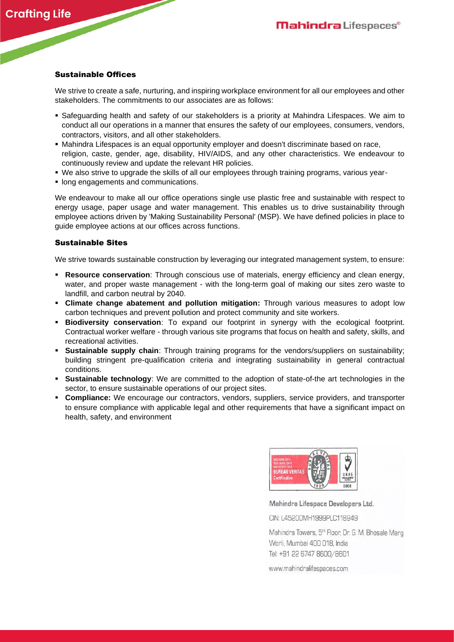# Sustainable Offices

We strive to create a safe, nurturing, and inspiring workplace environment for all our employees and other stakeholders. The commitments to our associates are as follows:

- Safeguarding health and safety of our stakeholders is a priority at Mahindra Lifespaces. We aim to conduct all our operations in a manner that ensures the safety of our employees, consumers, vendors, contractors, visitors, and all other stakeholders.
- **Mahindra Lifespaces is an equal opportunity employer and doesn't discriminate based on race,** religion, caste, gender, age, disability, HIV/AIDS, and any other characteristics. We endeavour to continuously review and update the relevant HR policies.
- We also strive to upgrade the skills of all our employees through training programs, various year-
- **· long engagements and communications.**

We endeavour to make all our office operations single use plastic free and sustainable with respect to energy usage, paper usage and water management. This enables us to drive sustainability through employee actions driven by 'Making Sustainability Personal' (MSP). We have defined policies in place to guide employee actions at our offices across functions.

# Sustainable Sites

We strive towards sustainable construction by leveraging our integrated management system, to ensure:

- **Resource conservation**: Through conscious use of materials, energy efficiency and clean energy, water, and proper waste management - with the long-term goal of making our sites zero waste to landfill, and carbon neutral by 2040.
- **Climate change abatement and pollution mitigation:** Through various measures to adopt low carbon techniques and prevent pollution and protect community and site workers.
- **Biodiversity conservation**: To expand our footprint in synergy with the ecological footprint. Contractual worker welfare - through various site programs that focus on health and safety, skills, and recreational activities.
- **Sustainable supply chain**: Through training programs for the vendors/suppliers on sustainability; building stringent pre-qualification criteria and integrating sustainability in general contractual conditions.
- **Sustainable technology**: We are committed to the adoption of state-of-the art technologies in the sector, to ensure sustainable operations of our project sites.
- **EX Compliance:** We encourage our contractors, vendors, suppliers, service providers, and transporter to ensure compliance with applicable legal and other requirements that have a significant impact on health, safety, and environment



Mahindra Lifespace Developers Ltd.

CIN: L45200MH1999PLC118949

Mahindra Towers, 5<sup>th</sup> Floor, Dr. G. M. Bhosale Marq Worli, Mumbai 400 018, India Tel: +91 22 6747 8600/8601

www.mahindralifespaces.com